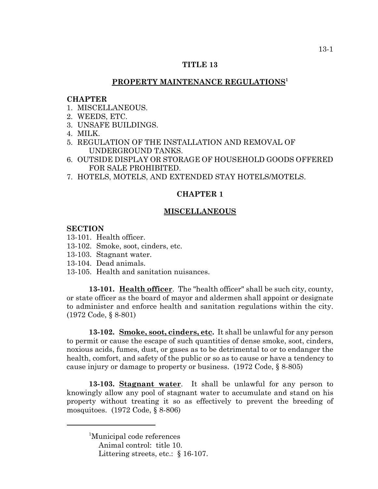# **TITLE 13**

# **PROPERTY MAINTENANCE REGULATIONS1**

## **CHAPTER**

- 1. MISCELLANEOUS.
- 2. WEEDS, ETC.
- 3. UNSAFE BUILDINGS.
- 4. MILK.
- 5. REGULATION OF THE INSTALLATION AND REMOVAL OF UNDERGROUND TANKS.
- 6. OUTSIDE DISPLAY OR STORAGE OF HOUSEHOLD GOODS OFFERED FOR SALE PROHIBITED.
- 7. HOTELS, MOTELS, AND EXTENDED STAY HOTELS/MOTELS.

# **CHAPTER 1**

# **MISCELLANEOUS**

# **SECTION**

- 13-101. Health officer.
- 13-102. Smoke, soot, cinders, etc.
- 13-103. Stagnant water.
- 13-104. Dead animals.
- 13-105. Health and sanitation nuisances.

**13-101. Health officer**. The "health officer" shall be such city, county, or state officer as the board of mayor and aldermen shall appoint or designate to administer and enforce health and sanitation regulations within the city. (1972 Code, § 8-801)

**13-102. Smoke, soot, cinders, etc.** It shall be unlawful for any person to permit or cause the escape of such quantities of dense smoke, soot, cinders, noxious acids, fumes, dust, or gases as to be detrimental to or to endanger the health, comfort, and safety of the public or so as to cause or have a tendency to cause injury or damage to property or business. (1972 Code, § 8-805)

**13-103. Stagnant water**. It shall be unlawful for any person to knowingly allow any pool of stagnant water to accumulate and stand on his property without treating it so as effectively to prevent the breeding of mosquitoes. (1972 Code, § 8-806)

<sup>&</sup>lt;sup>1</sup>Municipal code references Animal control: title 10. Littering streets, etc.: § 16-107.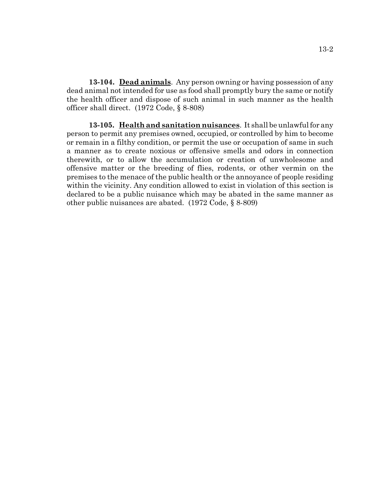**13-104. Dead animals**. Any person owning or having possession of any dead animal not intended for use as food shall promptly bury the same or notify the health officer and dispose of such animal in such manner as the health officer shall direct. (1972 Code, § 8-808)

**13-105. Health and sanitation nuisances**. It shall be unlawful for any person to permit any premises owned, occupied, or controlled by him to become or remain in a filthy condition, or permit the use or occupation of same in such a manner as to create noxious or offensive smells and odors in connection therewith, or to allow the accumulation or creation of unwholesome and offensive matter or the breeding of flies, rodents, or other vermin on the premises to the menace of the public health or the annoyance of people residing within the vicinity. Any condition allowed to exist in violation of this section is declared to be a public nuisance which may be abated in the same manner as other public nuisances are abated. (1972 Code, § 8-809)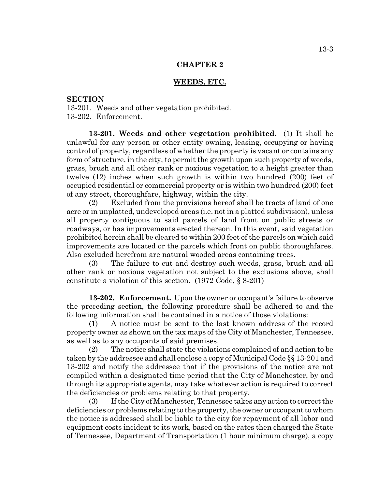#### **WEEDS, ETC.**

## **SECTION**

13-201. Weeds and other vegetation prohibited. 13-202. Enforcement.

**13-201. Weeds and other vegetation prohibited.** (1) It shall be unlawful for any person or other entity owning, leasing, occupying or having control of property, regardless of whether the property is vacant or contains any form of structure, in the city, to permit the growth upon such property of weeds, grass, brush and all other rank or noxious vegetation to a height greater than twelve (12) inches when such growth is within two hundred (200) feet of occupied residential or commercial property or is within two hundred (200) feet of any street, thoroughfare, highway, within the city.

(2) Excluded from the provisions hereof shall be tracts of land of one acre or in unplatted, undeveloped areas (i.e. not in a platted subdivision), unless all property contiguous to said parcels of land front on public streets or roadways, or has improvements erected thereon. In this event, said vegetation prohibited herein shall be cleared to within 200 feet of the parcels on which said improvements are located or the parcels which front on public thoroughfares. Also excluded herefrom are natural wooded areas containing trees.

(3) The failure to cut and destroy such weeds, grass, brush and all other rank or noxious vegetation not subject to the exclusions above, shall constitute a violation of this section. (1972 Code, § 8-201)

**13-202. Enforcement.** Upon the owner or occupant's failure to observe the preceding section, the following procedure shall be adhered to and the following information shall be contained in a notice of those violations:

(1) A notice must be sent to the last known address of the record property owner as shown on the tax maps of the City of Manchester, Tennessee, as well as to any occupants of said premises.

(2) The notice shall state the violations complained of and action to be taken by the addressee and shall enclose a copy of Municipal Code §§ 13-201 and 13-202 and notify the addressee that if the provisions of the notice are not compiled within a designated time period that the City of Manchester, by and through its appropriate agents, may take whatever action is required to correct the deficiencies or problems relating to that property.

(3) If the City of Manchester, Tennessee takes any action to correct the deficiencies or problems relating to the property, the owner or occupant to whom the notice is addressed shall be liable to the city for repayment of all labor and equipment costs incident to its work, based on the rates then charged the State of Tennessee, Department of Transportation (1 hour minimum charge), a copy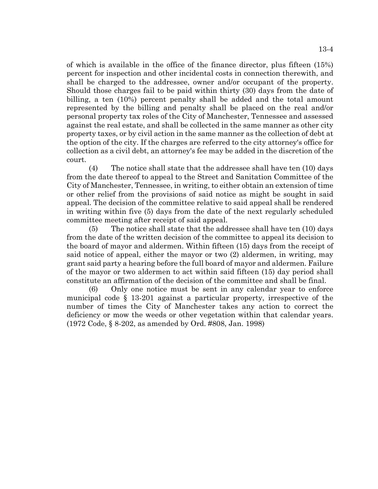of which is available in the office of the finance director, plus fifteen (15%) percent for inspection and other incidental costs in connection therewith, and shall be charged to the addressee, owner and/or occupant of the property. Should those charges fail to be paid within thirty (30) days from the date of billing, a ten (10%) percent penalty shall be added and the total amount represented by the billing and penalty shall be placed on the real and/or personal property tax roles of the City of Manchester, Tennessee and assessed against the real estate, and shall be collected in the same manner as other city property taxes, or by civil action in the same manner as the collection of debt at the option of the city. If the charges are referred to the city attorney's office for collection as a civil debt, an attorney's fee may be added in the discretion of the court.

(4) The notice shall state that the addressee shall have ten (10) days from the date thereof to appeal to the Street and Sanitation Committee of the City of Manchester, Tennessee, in writing, to either obtain an extension of time or other relief from the provisions of said notice as might be sought in said appeal. The decision of the committee relative to said appeal shall be rendered in writing within five (5) days from the date of the next regularly scheduled committee meeting after receipt of said appeal.

(5) The notice shall state that the addressee shall have ten (10) days from the date of the written decision of the committee to appeal its decision to the board of mayor and aldermen. Within fifteen (15) days from the receipt of said notice of appeal, either the mayor or two (2) aldermen, in writing, may grant said party a hearing before the full board of mayor and aldermen. Failure of the mayor or two aldermen to act within said fifteen (15) day period shall constitute an affirmation of the decision of the committee and shall be final.

(6) Only one notice must be sent in any calendar year to enforce municipal code § 13-201 against a particular property, irrespective of the number of times the City of Manchester takes any action to correct the deficiency or mow the weeds or other vegetation within that calendar years. (1972 Code, § 8-202, as amended by Ord. #808, Jan. 1998)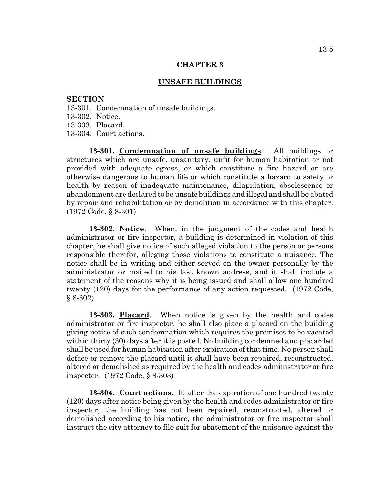## **UNSAFE BUILDINGS**

#### **SECTION**

- 13-301. Condemnation of unsafe buildings.
- 13-302. Notice.
- 13-303. Placard.
- 13-304. Court actions.

**13-301. Condemnation of unsafe buildings**. All buildings or structures which are unsafe, unsanitary, unfit for human habitation or not provided with adequate egress, or which constitute a fire hazard or are otherwise dangerous to human life or which constitute a hazard to safety or health by reason of inadequate maintenance, dilapidation, obsolescence or abandonment are declared to be unsafe buildings and illegal and shall be abated by repair and rehabilitation or by demolition in accordance with this chapter. (1972 Code, § 8-301)

**13-302. Notice**. When, in the judgment of the codes and health administrator or fire inspector, a building is determined in violation of this chapter, he shall give notice of such alleged violation to the person or persons responsible therefor, alleging those violations to constitute a nuisance. The notice shall be in writing and either served on the owner personally by the administrator or mailed to his last known address, and it shall include a statement of the reasons why it is being issued and shall allow one hundred twenty (120) days for the performance of any action requested. (1972 Code, § 8-302)

**13-303. Placard**. When notice is given by the health and codes administrator or fire inspector, he shall also place a placard on the building giving notice of such condemnation which requires the premises to be vacated within thirty (30) days after it is posted. No building condemned and placarded shall be used for human habitation after expiration of that time. No person shall deface or remove the placard until it shall have been repaired, reconstructed, altered or demolished as required by the health and codes administrator or fire inspector. (1972 Code, § 8-303)

**13-304. Court actions**. If, after the expiration of one hundred twenty (120) days after notice being given by the health and codes administrator or fire inspector, the building has not been repaired, reconstructed, altered or demolished according to his notice, the administrator or fire inspector shall instruct the city attorney to file suit for abatement of the nuisance against the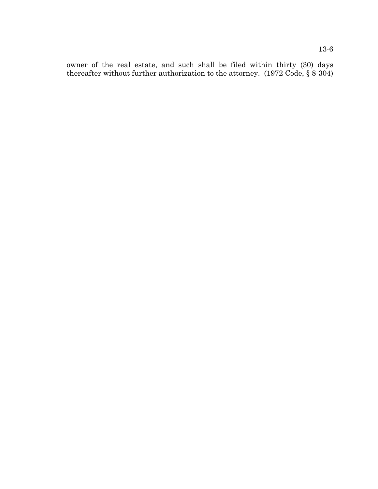owner of the real estate, and such shall be filed within thirty (30) days thereafter without further authorization to the attorney. (1972 Code, § 8-304)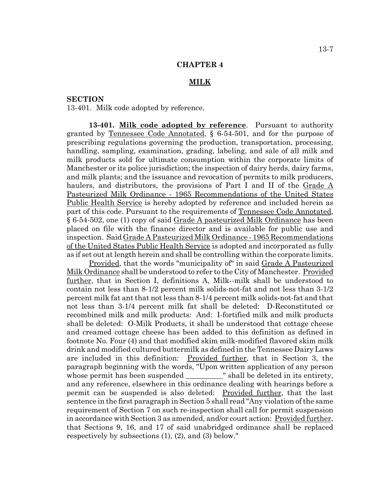#### **MILK**

# **SECTION**

13-401. Milk code adopted by reference.

**13-401. Milk code adopted by reference**. Pursuant to authority granted by Tennessee Code Annotated, § 6-54-501, and for the purpose of prescribing regulations governing the production, transportation, processing, handling, sampling, examination, grading, labeling, and sale of all milk and milk products sold for ultimate consumption within the corporate limits of Manchester or its police jurisdiction; the inspection of dairy herds, dairy farms, and milk plants; and the issuance and revocation of permits to milk producers, haulers, and distributors, the provisions of Part I and II of the Grade A Pasteurized Milk Ordinance - 1965 Recommendations of the United States Public Health Service is hereby adopted by reference and included herein as part of this code. Pursuant to the requirements of Tennessee Code Annotated, § 6-54-502, one (1) copy of said Grade A pasteurized Milk Ordinance has been placed on file with the finance director and is available for public use and inspection. Said Grade A Pasteurized Milk Ordinance - 1965 Recommendations of the United States Public Health Service is adopted and incorporated as fully as if set out at length herein and shall be controlling within the corporate limits.

Provided, that the words "municipality of" in said Grade A Pasteurized Milk Ordinance shall be understood to refer to the City of Manchester. Provided further, that in Section I, definitions A, Milk--milk shall be understood to contain not less than 8-1/2 percent milk solids-not-fat and not less than 3-1/2 percent milk fat ant that not less than 8-1/4 percent milk solids-not-fat and that not less than 3-1/4 percent milk fat shall be deleted: D-Reconstituted or recombined milk and milk products: And: I-fortified milk and milk products shall be deleted: O-Milk Products, it shall be understood that cottage cheese and creamed cottage cheese has been added to this definition as defined in footnote No. Four (4) and that modified skim milk-modified flavored skim milk drink and modified cultured buttermilk as defined in the Tennessee Dairy Laws are included in this definition: Provided further, that in Section 3, the paragraph beginning with the words, "Upon written application of any person whose permit has been suspended \_\_\_\_\_\_\_\_\_\_\_" shall be deleted in its entirety, and any reference, elsewhere in this ordinance dealing with hearings before a permit can be suspended is also deleted: Provided further, that the last sentence in the first paragraph in Section 5 shall read "Any violation of the same requirement of Section 7 on such re-inspection shall call for permit suspension in accordance with Section 3 as amended, and/or court action: Provided further, that Sections 9, 16, and 17 of said unabridged ordinance shall be replaced respectively by subsections (1), (2), and (3) below."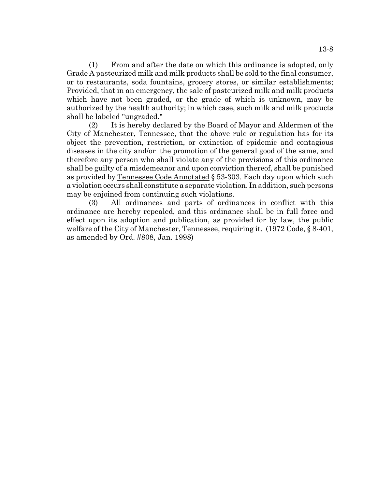(1) From and after the date on which this ordinance is adopted, only Grade A pasteurized milk and milk products shall be sold to the final consumer, or to restaurants, soda fountains, grocery stores, or similar establishments; Provided, that in an emergency, the sale of pasteurized milk and milk products which have not been graded, or the grade of which is unknown, may be authorized by the health authority; in which case, such milk and milk products shall be labeled "ungraded."

(2) It is hereby declared by the Board of Mayor and Aldermen of the City of Manchester, Tennessee, that the above rule or regulation has for its object the prevention, restriction, or extinction of epidemic and contagious diseases in the city and/or the promotion of the general good of the same, and therefore any person who shall violate any of the provisions of this ordinance shall be guilty of a misdemeanor and upon conviction thereof, shall be punished as provided by Tennessee Code Annotated § 53-303. Each day upon which such a violation occurs shall constitute a separate violation. In addition, such persons may be enjoined from continuing such violations.

(3) All ordinances and parts of ordinances in conflict with this ordinance are hereby repealed, and this ordinance shall be in full force and effect upon its adoption and publication, as provided for by law, the public welfare of the City of Manchester, Tennessee, requiring it. (1972 Code, § 8-401, as amended by Ord. #808, Jan. 1998)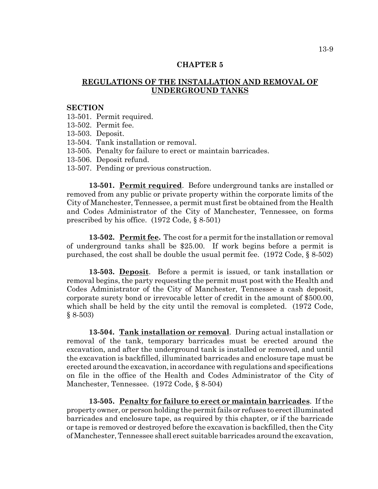# **REGULATIONS OF THE INSTALLATION AND REMOVAL OF UNDERGROUND TANKS**

#### **SECTION**

13-501. Permit required.

- 13-502. Permit fee.
- 13-503. Deposit.
- 13-504. Tank installation or removal.
- 13-505. Penalty for failure to erect or maintain barricades.
- 13-506. Deposit refund.
- 13-507. Pending or previous construction.

**13-501. Permit required**. Before underground tanks are installed or removed from any public or private property within the corporate limits of the City of Manchester, Tennessee, a permit must first be obtained from the Health and Codes Administrator of the City of Manchester, Tennessee, on forms prescribed by his office. (1972 Code, § 8-501)

**13-502. Permit fee.** The cost for a permit for the installation or removal of underground tanks shall be \$25.00. If work begins before a permit is purchased, the cost shall be double the usual permit fee. (1972 Code, § 8-502)

**13-503. Deposit**. Before a permit is issued, or tank installation or removal begins, the party requesting the permit must post with the Health and Codes Administrator of the City of Manchester, Tennessee a cash deposit, corporate surety bond or irrevocable letter of credit in the amount of \$500.00, which shall be held by the city until the removal is completed. (1972 Code,  $§ 8-503)$ 

**13-504. Tank installation or removal**. During actual installation or removal of the tank, temporary barricades must be erected around the excavation, and after the underground tank is installed or removed, and until the excavation is backfilled, illuminated barricades and enclosure tape must be erected around the excavation, in accordance with regulations and specifications on file in the office of the Health and Codes Administrator of the City of Manchester, Tennessee. (1972 Code, § 8-504)

**13-505. Penalty for failure to erect or maintain barricades**. If the property owner, or person holding the permit fails or refuses to erect illuminated barricades and enclosure tape, as required by this chapter, or if the barricade or tape is removed or destroyed before the excavation is backfilled, then the City of Manchester, Tennessee shall erect suitable barricades around the excavation,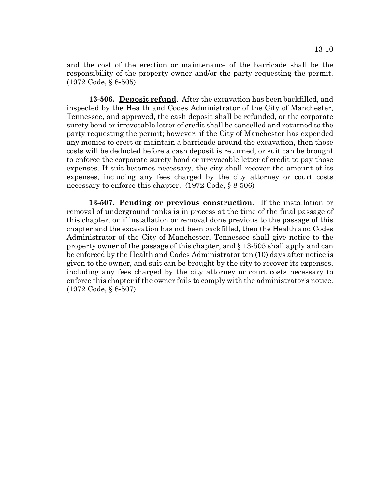and the cost of the erection or maintenance of the barricade shall be the responsibility of the property owner and/or the party requesting the permit. (1972 Code, § 8-505)

**13-506. Deposit refund**. After the excavation has been backfilled, and inspected by the Health and Codes Administrator of the City of Manchester, Tennessee, and approved, the cash deposit shall be refunded, or the corporate surety bond or irrevocable letter of credit shall be cancelled and returned to the party requesting the permit; however, if the City of Manchester has expended any monies to erect or maintain a barricade around the excavation, then those costs will be deducted before a cash deposit is returned, or suit can be brought to enforce the corporate surety bond or irrevocable letter of credit to pay those expenses. If suit becomes necessary, the city shall recover the amount of its expenses, including any fees charged by the city attorney or court costs necessary to enforce this chapter. (1972 Code, § 8-506)

**13-507. Pending or previous construction**. If the installation or removal of underground tanks is in process at the time of the final passage of this chapter, or if installation or removal done previous to the passage of this chapter and the excavation has not been backfilled, then the Health and Codes Administrator of the City of Manchester, Tennessee shall give notice to the property owner of the passage of this chapter, and § 13-505 shall apply and can be enforced by the Health and Codes Administrator ten (10) days after notice is given to the owner, and suit can be brought by the city to recover its expenses, including any fees charged by the city attorney or court costs necessary to enforce this chapter if the owner fails to comply with the administrator's notice. (1972 Code, § 8-507)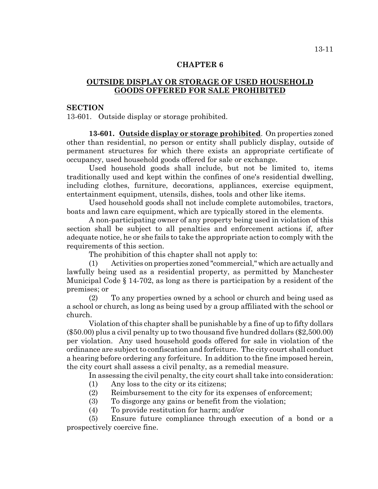# **OUTSIDE DISPLAY OR STORAGE OF USED HOUSEHOLD GOODS OFFERED FOR SALE PROHIBITED**

# **SECTION**

13-601. Outside display or storage prohibited.

**13-601. Outside display or storage prohibited**. On properties zoned other than residential, no person or entity shall publicly display, outside of permanent structures for which there exists an appropriate certificate of occupancy, used household goods offered for sale or exchange.

Used household goods shall include, but not be limited to, items traditionally used and kept within the confines of one's residential dwelling, including clothes, furniture, decorations, appliances, exercise equipment, entertainment equipment, utensils, dishes, tools and other like items.

Used household goods shall not include complete automobiles, tractors, boats and lawn care equipment, which are typically stored in the elements.

A non-participating owner of any property being used in violation of this section shall be subject to all penalties and enforcement actions if, after adequate notice, he or she fails to take the appropriate action to comply with the requirements of this section.

The prohibition of this chapter shall not apply to:

(1) Activities on properties zoned "commercial," which are actually and lawfully being used as a residential property, as permitted by Manchester Municipal Code § 14-702, as long as there is participation by a resident of the premises; or

(2) To any properties owned by a school or church and being used as a school or church, as long as being used by a group affiliated with the school or church.

Violation of this chapter shall be punishable by a fine of up to fifty dollars (\$50.00) plus a civil penalty up to two thousand five hundred dollars (\$2,500.00) per violation. Any used household goods offered for sale in violation of the ordinance are subject to confiscation and forfeiture. The city court shall conduct a hearing before ordering any forfeiture. In addition to the fine imposed herein, the city court shall assess a civil penalty, as a remedial measure.

In assessing the civil penalty, the city court shall take into consideration:

- (1) Any loss to the city or its citizens;
- (2) Reimbursement to the city for its expenses of enforcement;
- (3) To disgorge any gains or benefit from the violation;
- (4) To provide restitution for harm; and/or

(5) Ensure future compliance through execution of a bond or a prospectively coercive fine.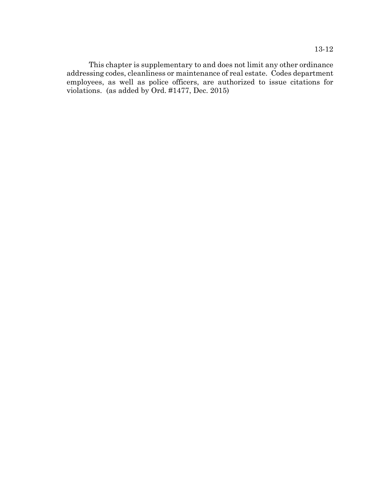This chapter is supplementary to and does not limit any other ordinance addressing codes, cleanliness or maintenance of real estate. Codes department employees, as well as police officers, are authorized to issue citations for violations. (as added by Ord. #1477, Dec. 2015)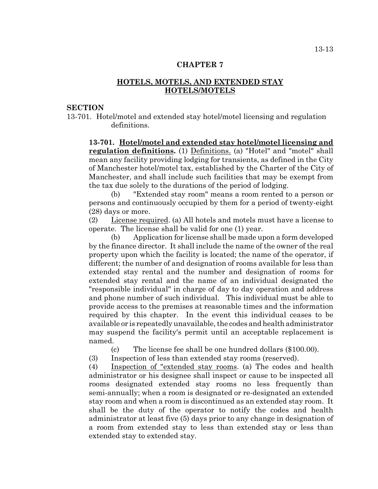# **HOTELS, MOTELS, AND EXTENDED STAY HOTELS/MOTELS**

# **SECTION**

13-701. Hotel/motel and extended stay hotel/motel licensing and regulation definitions.

**13-701. Hotel/motel and extended stay hotel/motel licensing and regulation definitions.** (1) Definitions. (a) "Hotel" and "motel" shall mean any facility providing lodging for transients, as defined in the City of Manchester hotel/motel tax, established by the Charter of the City of Manchester, and shall include such facilities that may be exempt from the tax due solely to the durations of the period of lodging.

(b) "Extended stay room" means a room rented to a person or persons and continuously occupied by them for a period of twenty-eight (28) days or more.

(2) License required. (a) All hotels and motels must have a license to operate. The license shall be valid for one (1) year.

(b) Application for license shall be made upon a form developed by the finance director. It shall include the name of the owner of the real property upon which the facility is located; the name of the operator, if different; the number of and designation of rooms available for less than extended stay rental and the number and designation of rooms for extended stay rental and the name of an individual designated the "responsible individual" in charge of day to day operation and address and phone number of such individual. This individual must be able to provide access to the premises at reasonable times and the information required by this chapter. In the event this individual ceases to be available or is repeatedly unavailable, the codes and health administrator may suspend the facility's permit until an acceptable replacement is named.

(c) The license fee shall be one hundred dollars (\$100.00).

(3) Inspection of less than extended stay rooms (reserved).

(4) Inspection of "extended stay rooms. (a) The codes and health administrator or his designee shall inspect or cause to be inspected all rooms designated extended stay rooms no less frequently than semi-annually; when a room is designated or re-designated an extended stay room and when a room is discontinued as an extended stay room. It shall be the duty of the operator to notify the codes and health administrator at least five (5) days prior to any change in designation of a room from extended stay to less than extended stay or less than extended stay to extended stay.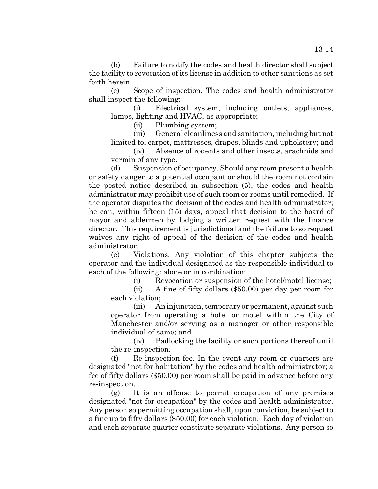(b) Failure to notify the codes and health director shall subject the facility to revocation of its license in addition to other sanctions as set forth herein.

(c) Scope of inspection. The codes and health administrator shall inspect the following:

(i) Electrical system, including outlets, appliances, lamps, lighting and HVAC, as appropriate;

(ii) Plumbing system;

(iii) General cleanliness and sanitation, including but not limited to, carpet, mattresses, drapes, blinds and upholstery; and

(iv) Absence of rodents and other insects, arachnids and vermin of any type.

(d) Suspension of occupancy. Should any room present a health or safety danger to a potential occupant or should the room not contain the posted notice described in subsection (5), the codes and health administrator may prohibit use of such room or rooms until remedied. If the operator disputes the decision of the codes and health administrator; he can, within fifteen (15) days, appeal that decision to the board of mayor and aldermen by lodging a written request with the finance director. This requirement is jurisdictional and the failure to so request waives any right of appeal of the decision of the codes and health administrator.

(e) Violations. Any violation of this chapter subjects the operator and the individual designated as the responsible individual to each of the following: alone or in combination:

(i) Revocation or suspension of the hotel/motel license;

(ii) A fine of fifty dollars (\$50.00) per day per room for each violation;

(iii) An injunction, temporary or permanent, against such operator from operating a hotel or motel within the City of Manchester and/or serving as a manager or other responsible individual of same; and

(iv) Padlocking the facility or such portions thereof until the re-inspection.

(f) Re-inspection fee. In the event any room or quarters are designated "not for habitation" by the codes and health administrator; a fee of fifty dollars (\$50.00) per room shall be paid in advance before any re-inspection.

(g) It is an offense to permit occupation of any premises designated "not for occupation" by the codes and health administrator. Any person so permitting occupation shall, upon conviction, be subject to a fine up to fifty dollars (\$50.00) for each violation. Each day of violation and each separate quarter constitute separate violations. Any person so